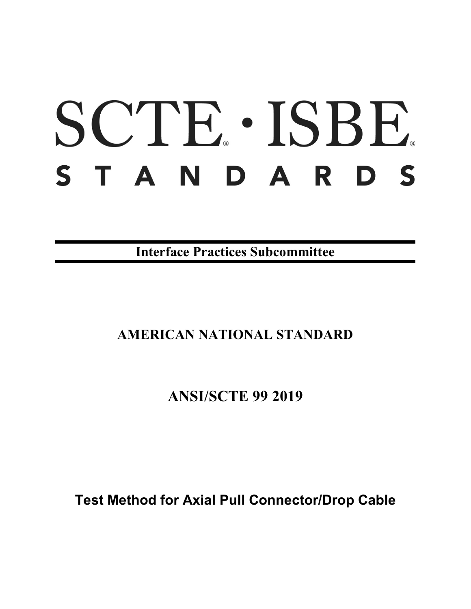# SCTE · ISBE. STANDARDS

**Interface Practices Subcommittee**

## **AMERICAN NATIONAL STANDARD**

**ANSI/SCTE 99 2019**

**Test Method for Axial Pull Connector/Drop Cable**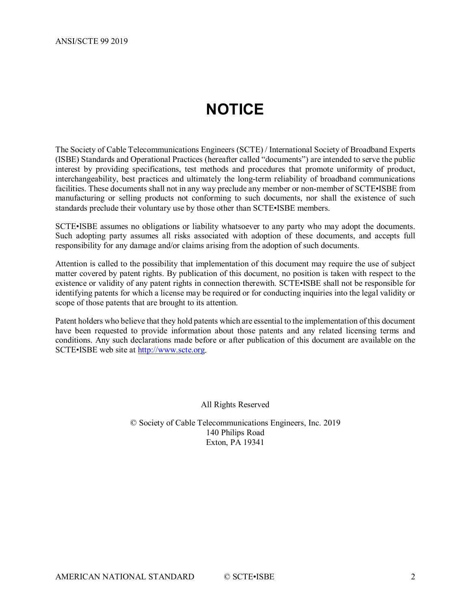# **NOTICE**

<span id="page-1-0"></span>The Society of Cable Telecommunications Engineers (SCTE) / International Society of Broadband Experts (ISBE) Standards and Operational Practices (hereafter called "documents") are intended to serve the public interest by providing specifications, test methods and procedures that promote uniformity of product, interchangeability, best practices and ultimately the long-term reliability of broadband communications facilities. These documents shall not in any way preclude any member or non-member of SCTE•ISBE from manufacturing or selling products not conforming to such documents, nor shall the existence of such standards preclude their voluntary use by those other than SCTE•ISBE members.

SCTE•ISBE assumes no obligations or liability whatsoever to any party who may adopt the documents. Such adopting party assumes all risks associated with adoption of these documents, and accepts full responsibility for any damage and/or claims arising from the adoption of such documents.

Attention is called to the possibility that implementation of this document may require the use of subject matter covered by patent rights. By publication of this document, no position is taken with respect to the existence or validity of any patent rights in connection therewith. SCTE•ISBE shall not be responsible for identifying patents for which a license may be required or for conducting inquiries into the legal validity or scope of those patents that are brought to its attention.

Patent holders who believe that they hold patents which are essential to the implementation of this document have been requested to provide information about those patents and any related licensing terms and conditions. Any such declarations made before or after publication of this document are available on the SCTE•ISBE web site at [http://www.scte.org.](http://www.scte.org/)

All Rights Reserved

© Society of Cable Telecommunications Engineers, Inc. 2019 140 Philips Road Exton, PA 19341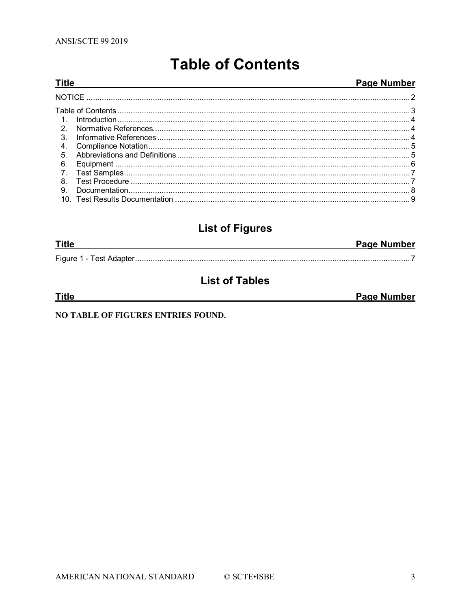<span id="page-2-0"></span>**Title** 

## **Table of Contents**

#### Page Number

| $\mathcal{P}$  |  |
|----------------|--|
| $\mathbf{3}$ . |  |
| 4.             |  |
| 5.             |  |
| 6.             |  |
|                |  |
| 8.             |  |
| 9.             |  |
|                |  |

## **List of Figures**

| <b>Title</b> | <b>Page Number</b> |
|--------------|--------------------|
|              |                    |

## **List of Tables**

| Title | <b>Page Number</b> |
|-------|--------------------|
|       |                    |

NO TABLE OF FIGURES ENTRIES FOUND.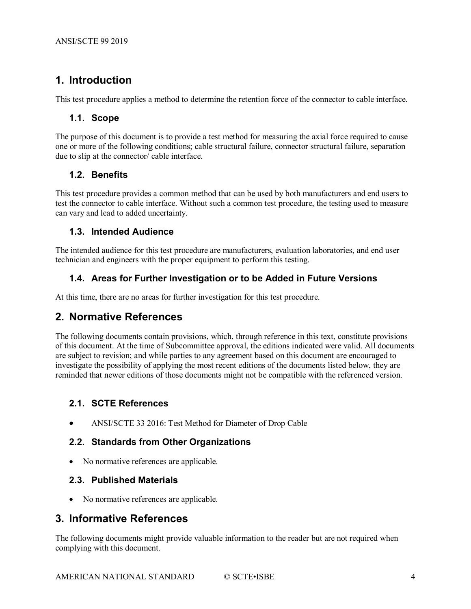## <span id="page-3-0"></span>**1. Introduction**

This test procedure applies a method to determine the retention force of the connector to cable interface.

#### **1.1. Scope**

The purpose of this document is to provide a test method for measuring the axial force required to cause one or more of the following conditions; cable structural failure, connector structural failure, separation due to slip at the connector/ cable interface.

#### **1.2. Benefits**

This test procedure provides a common method that can be used by both manufacturers and end users to test the connector to cable interface. Without such a common test procedure, the testing used to measure can vary and lead to added uncertainty.

#### **1.3. Intended Audience**

The intended audience for this test procedure are manufacturers, evaluation laboratories, and end user technician and engineers with the proper equipment to perform this testing.

#### **1.4. Areas for Further Investigation or to be Added in Future Versions**

<span id="page-3-1"></span>At this time, there are no areas for further investigation for this test procedure.

#### **2. Normative References**

The following documents contain provisions, which, through reference in this text, constitute provisions of this document. At the time of Subcommittee approval, the editions indicated were valid. All documents are subject to revision; and while parties to any agreement based on this document are encouraged to investigate the possibility of applying the most recent editions of the documents listed below, they are reminded that newer editions of those documents might not be compatible with the referenced version.

#### **2.1. SCTE References**

• ANSI/SCTE 33 2016: Test Method for Diameter of Drop Cable

#### **2.2. Standards from Other Organizations**

• No normative references are applicable.

#### **2.3. Published Materials**

• No normative references are applicable.

#### <span id="page-3-2"></span>**3. Informative References**

The following documents might provide valuable information to the reader but are not required when complying with this document.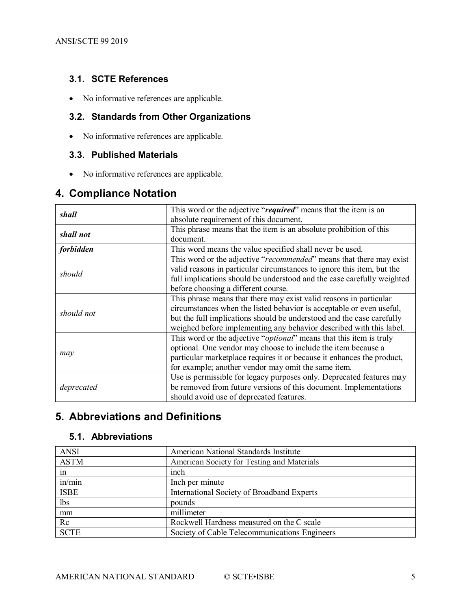#### **3.1. SCTE References**

• No informative references are applicable.

#### **3.2. Standards from Other Organizations**

• No informative references are applicable.

## **3.3. Published Materials**

• No informative references are applicable.

### <span id="page-4-0"></span>**4. Compliance Notation**

|                  | This word or the adjective "required" means that the item is an              |
|------------------|------------------------------------------------------------------------------|
| shall            |                                                                              |
|                  | absolute requirement of this document.                                       |
| shall not        | This phrase means that the item is an absolute prohibition of this           |
|                  | document.                                                                    |
| <i>forbidden</i> | This word means the value specified shall never be used.                     |
|                  | This word or the adjective "recommended" means that there may exist          |
|                  | valid reasons in particular circumstances to ignore this item, but the       |
| should           | full implications should be understood and the case carefully weighted       |
|                  | before choosing a different course.                                          |
|                  | This phrase means that there may exist valid reasons in particular           |
| should not       | circumstances when the listed behavior is acceptable or even useful,         |
|                  | but the full implications should be understood and the case carefully        |
|                  | weighed before implementing any behavior described with this label.          |
|                  | This word or the adjective " <i>optional</i> " means that this item is truly |
|                  | optional. One vendor may choose to include the item because a                |
| may              | particular marketplace requires it or because it enhances the product,       |
|                  | for example; another vendor may omit the same item.                          |
|                  | Use is permissible for legacy purposes only. Deprecated features may         |
| deprecated       | be removed from future versions of this document. Implementations            |
|                  | should avoid use of deprecated features.                                     |

## <span id="page-4-1"></span>**5. Abbreviations and Definitions**

#### **5.1. Abbreviations**

| <b>ANSI</b> | American National Standards Institute         |
|-------------|-----------------------------------------------|
| <b>ASTM</b> | American Society for Testing and Materials    |
| in          | inch                                          |
| in/min      | Inch per minute                               |
| <b>ISBE</b> | International Society of Broadband Experts    |
| lbs         | pounds                                        |
| mm          | millimeter                                    |
| Rc          | Rockwell Hardness measured on the C scale     |
| <b>SCTE</b> | Society of Cable Telecommunications Engineers |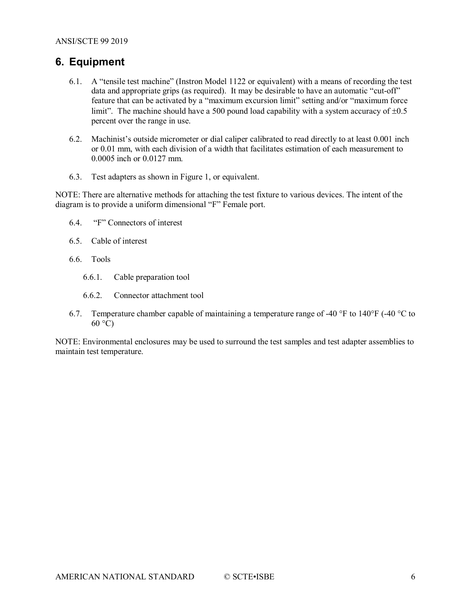#### <span id="page-5-0"></span>**6. Equipment**

- 6.1. A "tensile test machine" (Instron Model 1122 or equivalent) with a means of recording the test data and appropriate grips (as required). It may be desirable to have an automatic "cut-off" feature that can be activated by a "maximum excursion limit" setting and/or "maximum force limit". The machine should have a 500 pound load capability with a system accuracy of  $\pm 0.5$ percent over the range in use.
- 6.2. Machinist's outside micrometer or dial caliper calibrated to read directly to at least 0.001 inch or 0.01 mm, with each division of a width that facilitates estimation of each measurement to 0.0005 inch or 0.0127 mm.
- 6.3. Test adapters as shown in Figure 1, or equivalent.

NOTE: There are alternative methods for attaching the test fixture to various devices. The intent of the diagram is to provide a uniform dimensional "F" Female port.

- 6.4. "F" Connectors of interest
- 6.5. Cable of interest
- 6.6. Tools
	- 6.6.1. Cable preparation tool
	- 6.6.2. Connector attachment tool
- 6.7. Temperature chamber capable of maintaining a temperature range of -40  $\degree$ F to 140 $\degree$ F (-40  $\degree$ C to  $60^{\circ}$ C)

NOTE: Environmental enclosures may be used to surround the test samples and test adapter assemblies to maintain test temperature.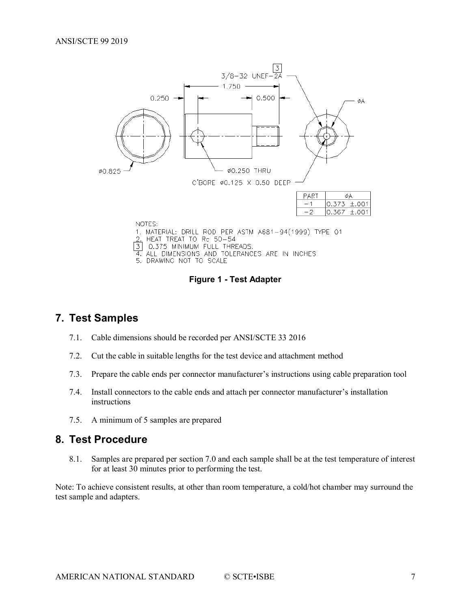

5. DRAWING NOT TO SCALE

**Figure 1 - Test Adapter**

#### <span id="page-6-2"></span><span id="page-6-0"></span>**7. Test Samples**

- 7.1. Cable dimensions should be recorded per ANSI/SCTE 33 2016
- 7.2. Cut the cable in suitable lengths for the test device and attachment method
- 7.3. Prepare the cable ends per connector manufacturer's instructions using cable preparation tool
- 7.4. Install connectors to the cable ends and attach per connector manufacturer's installation instructions
- 7.5. A minimum of 5 samples are prepared

#### <span id="page-6-1"></span>**8. Test Procedure**

8.1. Samples are prepared per section 7.0 and each sample shall be at the test temperature of interest for at least 30 minutes prior to performing the test.

Note: To achieve consistent results, at other than room temperature, a cold/hot chamber may surround the test sample and adapters.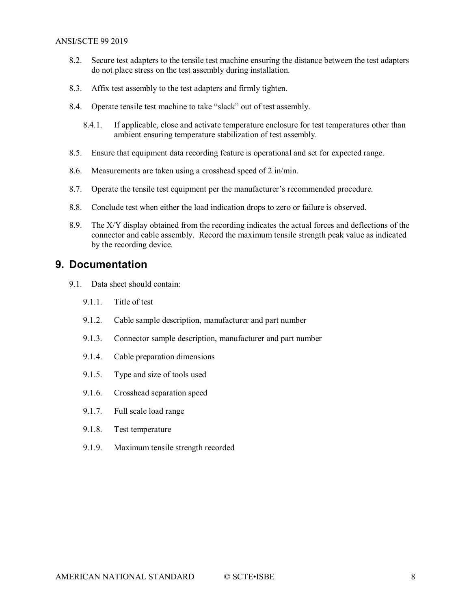- 8.2. Secure test adapters to the tensile test machine ensuring the distance between the test adapters do not place stress on the test assembly during installation.
- 8.3. Affix test assembly to the test adapters and firmly tighten.
- 8.4. Operate tensile test machine to take "slack" out of test assembly.
	- 8.4.1. If applicable, close and activate temperature enclosure for test temperatures other than ambient ensuring temperature stabilization of test assembly.
- 8.5. Ensure that equipment data recording feature is operational and set for expected range.
- 8.6. Measurements are taken using a crosshead speed of 2 in/min.
- 8.7. Operate the tensile test equipment per the manufacturer's recommended procedure.
- 8.8. Conclude test when either the load indication drops to zero or failure is observed.
- 8.9. The X/Y display obtained from the recording indicates the actual forces and deflections of the connector and cable assembly. Record the maximum tensile strength peak value as indicated by the recording device.

#### <span id="page-7-0"></span>**9. Documentation**

- 9.1. Data sheet should contain:
	- 9.1.1. Title of test
	- 9.1.2. Cable sample description, manufacturer and part number
	- 9.1.3. Connector sample description, manufacturer and part number
	- 9.1.4. Cable preparation dimensions
	- 9.1.5. Type and size of tools used
	- 9.1.6. Crosshead separation speed
	- 9.1.7. Full scale load range
	- 9.1.8. Test temperature
	- 9.1.9. Maximum tensile strength recorded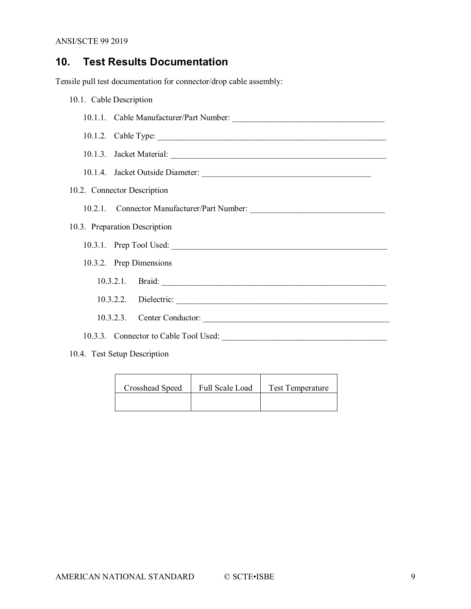## <span id="page-8-0"></span>**10. Test Results Documentation**

Tensile pull test documentation for connector/drop cable assembly:

| 10.1. Cable Description       |                             |  |  |
|-------------------------------|-----------------------------|--|--|
|                               |                             |  |  |
|                               |                             |  |  |
|                               |                             |  |  |
|                               |                             |  |  |
| 10.2. Connector Description   |                             |  |  |
|                               |                             |  |  |
| 10.3. Preparation Description |                             |  |  |
|                               |                             |  |  |
|                               | 10.3.2. Prep Dimensions     |  |  |
|                               |                             |  |  |
|                               |                             |  |  |
|                               | 10.3.2.3. Center Conductor: |  |  |
|                               |                             |  |  |
| 10.4. Test Setup Description  |                             |  |  |

| Crosshead Speed | Full Scale Load | <b>Test Temperature</b> |
|-----------------|-----------------|-------------------------|
|                 |                 |                         |